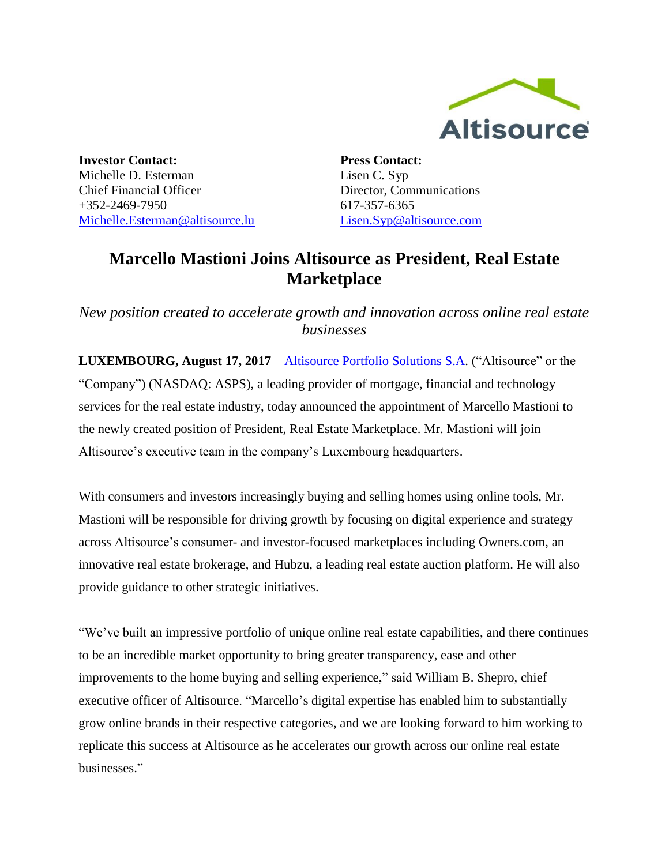

**Investor Contact:** Michelle D. Esterman Chief Financial Officer +352-2469-7950 [Michelle.Esterman@altisource.lu](mailto:Michelle.Esterman@altisource.lu) **Press Contact:** Lisen C. Syp Director, Communications 617-357-6365 [Lisen.Syp@altisource.com](mailto:Lisen.Syp@altisource.com)

## **Marcello Mastioni Joins Altisource as President, Real Estate Marketplace**

*New position created to accelerate growth and innovation across online real estate businesses*

**LUXEMBOURG, August 17, 2017** – [Altisource Portfolio Solutions S.A.](https://www.altisource.com/?utm_campaign=Marcello&utm_source=PR&utm_medium=PR&utm_content=first) ("Altisource" or the "Company") (NASDAQ: ASPS), a leading provider of mortgage, financial and technology services for the real estate industry, today announced the appointment of Marcello Mastioni to the newly created position of President, Real Estate Marketplace. Mr. Mastioni will join Altisource's executive team in the company's Luxembourg headquarters.

With consumers and investors increasingly buying and selling homes using online tools, Mr. Mastioni will be responsible for driving growth by focusing on digital experience and strategy across Altisource's consumer- and investor-focused marketplaces including Owners.com, an innovative real estate brokerage, and Hubzu, a leading real estate auction platform. He will also provide guidance to other strategic initiatives.

"We've built an impressive portfolio of unique online real estate capabilities, and there continues to be an incredible market opportunity to bring greater transparency, ease and other improvements to the home buying and selling experience," said William B. Shepro, chief executive officer of Altisource. "Marcello's digital expertise has enabled him to substantially grow online brands in their respective categories, and we are looking forward to him working to replicate this success at Altisource as he accelerates our growth across our online real estate businesses."